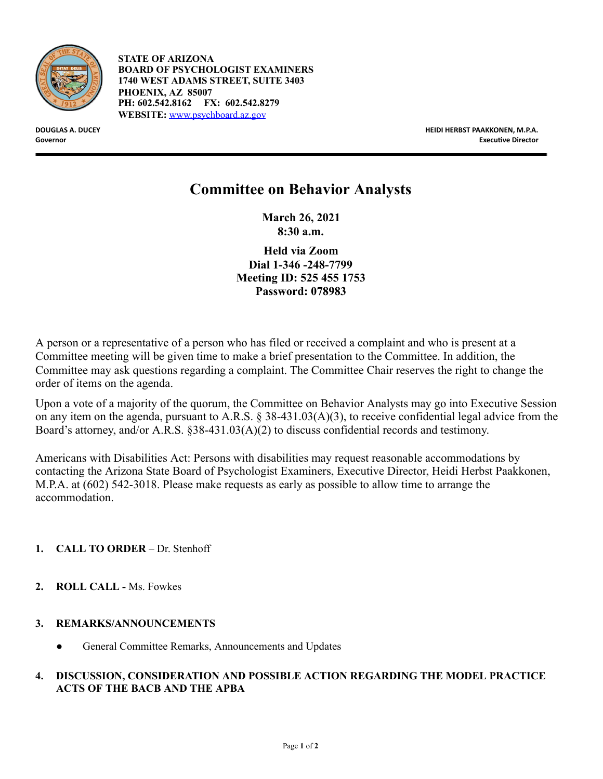

**STATE OF ARIZONA BOARD OF PSYCHOLOGIST EXAMINERS 1740 WEST ADAMS STREET, SUITE 3403 PHOENIX, AZ 85007 PH: 602.542.8162 FX: 602.542.8279 WEBSITE:** [www.psychboard.az.gov](http://www.psychboard.az.gov/)

**DOUGLAS A. DUCEY HEIDI HERBST PAAKKONEN, M.P.A. Governor Executive Director Executive Director Executive Director Executive Director** 

## **Committee on Behavior Analysts**

**March 26, 2021 8:30 a.m.** 

**Held via Zoom Dial 1-346 -248-7799 Meeting ID: 525 455 1753 Password: 078983** 

A person or a representative of a person who has filed or received a complaint and who is present at a Committee meeting will be given time to make a brief presentation to the Committee. In addition, the Committee may ask questions regarding a complaint. The Committee Chair reserves the right to change the order of items on the agenda.

Upon a vote of a majority of the quorum, the Committee on Behavior Analysts may go into Executive Session on any item on the agenda, pursuant to A.R.S. § 38-431.03(A)(3), to receive confidential legal advice from the Board's attorney, and/or A.R.S. §38-431.03(A)(2) to discuss confidential records and testimony.

Americans with Disabilities Act: Persons with disabilities may request reasonable accommodations by contacting the Arizona State Board of Psychologist Examiners, Executive Director, Heidi Herbst Paakkonen, M.P.A. at (602) 542-3018. Please make requests as early as possible to allow time to arrange the accommodation.

## **1. CALL TO ORDER** – Dr. Stenhoff

**2. ROLL CALL -** Ms. Fowkes

## **3. REMARKS/ANNOUNCEMENTS**

General Committee Remarks, Announcements and Updates

## **4. DISCUSSION, CONSIDERATION AND POSSIBLE ACTION REGARDING THE MODEL PRACTICE ACTS OF THE BACB AND THE APBA**